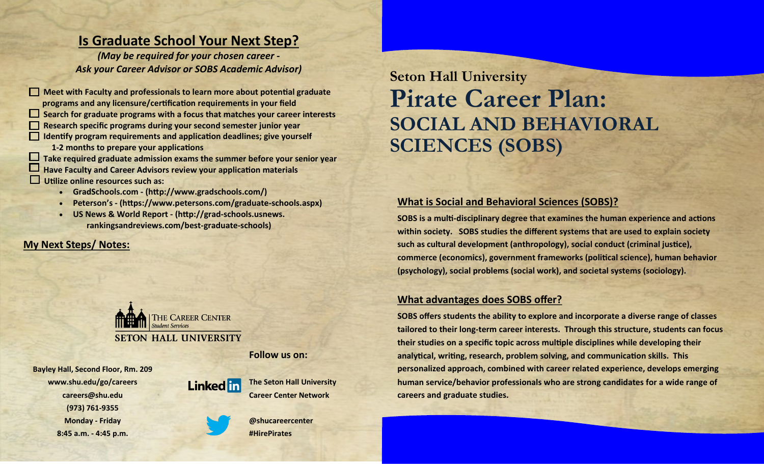## **Is Graduate School Your Next Step?**

*(May be required for your chosen career - Ask your Career Advisor or SOBS Academic Advisor)*

**Meet with Faculty and professionals to learn more about potential graduate programs and any licensure/certification requirements in your field Search for graduate programs with a focus that matches your career interests Research specific programs during your second semester junior year Identify program requirements and application deadlines; give yourself 1-2 months to prepare your applications Take required graduate admission exams the summer before your senior year Have Faculty and Career Advisors review your application materials Utilize online resources such as:**

- **GradSchools.com - (http://www.gradschools.com/)**
- **Peterson's - (https://www.petersons.com/graduate-schools.aspx)**
- **US News & World Report - (http://grad-schools.usnews. rankingsandreviews.com/best-graduate-schools)**

#### **My Next Steps/ Notes:**



**Follow us on:**

**Bayley Hall, Second Floor, Rm. 209 www.shu.edu/go/careers careers@shu.edu (973) 761-9355 Monday - Friday 8:45 a.m. - 4:45 p.m.**



**The Seton Hall University Career Center Network**

**@shucareercenter #HirePirates**

**Seton Hall University Pirate Career Plan: SOCIAL AND BEHAVIORAL SCIENCES (SOBS)**

#### **What is Social and Behavioral Sciences (SOBS)?**

**SOBS is a multi-disciplinary degree that examines the human experience and actions within society. SOBS studies the different systems that are used to explain society such as cultural development (anthropology), social conduct (criminal justice), commerce (economics), government frameworks (political science), human behavior (psychology), social problems (social work), and societal systems (sociology).**

#### **What advantages does SOBS offer?**

**SOBS offers students the ability to explore and incorporate a diverse range of classes tailored to their long-term career interests. Through this structure, students can focus their studies on a specific topic across multiple disciplines while developing their analytical, writing, research, problem solving, and communication skills. This personalized approach, combined with career related experience, develops emerging human service/behavior professionals who are strong candidates for a wide range of careers and graduate studies.**